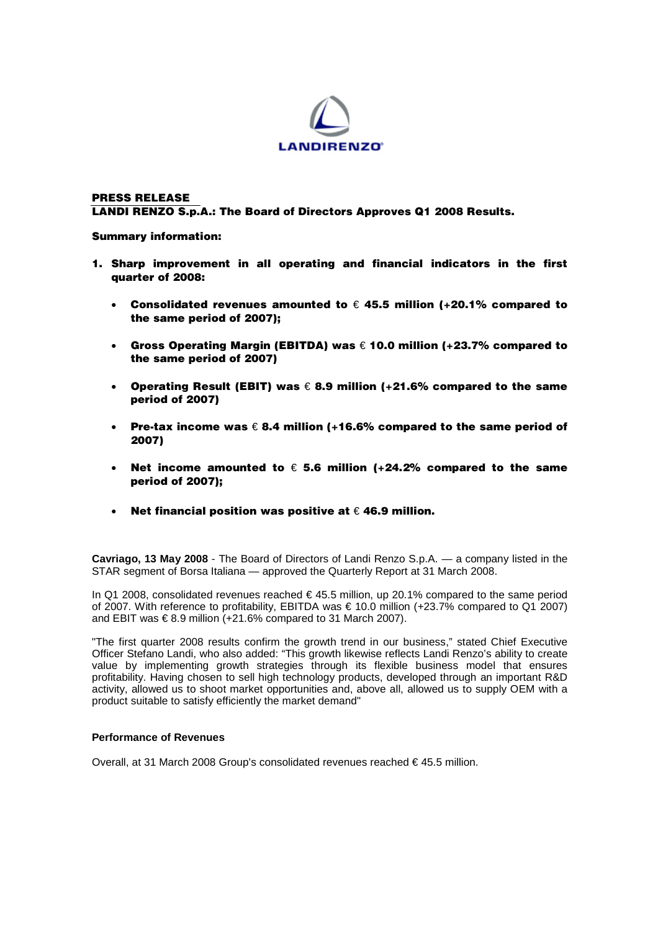

# **PRESS RELEASE LANDI RENZO S.p.A.: The Board of Directors Approves Q1 2008 Results.**

**Summary information:** 

- **1. Sharp improvement in all operating and financial indicators in the first quarter of 2008:** 
	- **Consolidated revenues amounted to** € **45.5 million (+20.1% compared to the same period of 2007);**
	- **Gross Operating Margin (EBITDA) was** € **10.0 million (+23.7% compared to the same period of 2007)**
	- **Operating Result (EBIT) was** € **8.9 million (+21.6% compared to the same period of 2007)**
	- **Pre-tax income was** € **8.4 million (+16.6% compared to the same period of 2007)**
	- **Net income amounted to** € **5.6 million (+24.2% compared to the same period of 2007);**
	- **Net financial position was positive at** € **46.9 million.**

**Cavriago, 13 May 2008** - The Board of Directors of Landi Renzo S.p.A. — a company listed in the STAR segment of Borsa Italiana — approved the Quarterly Report at 31 March 2008.

In Q1 2008, consolidated revenues reached  $\in$  45.5 million, up 20.1% compared to the same period of 2007. With reference to profitability, EBITDA was € 10.0 million (+23.7% compared to Q1 2007) and EBIT was  $\epsilon$ 8.9 million (+21.6% compared to 31 March 2007).

"The first quarter 2008 results confirm the growth trend in our business," stated Chief Executive Officer Stefano Landi, who also added: "This growth likewise reflects Landi Renzo's ability to create value by implementing growth strategies through its flexible business model that ensures profitability. Having chosen to sell high technology products, developed through an important R&D activity, allowed us to shoot market opportunities and, above all, allowed us to supply OEM with a product suitable to satisfy efficiently the market demand"

### **Performance of Revenues**

Overall, at 31 March 2008 Group's consolidated revenues reached € 45.5 million.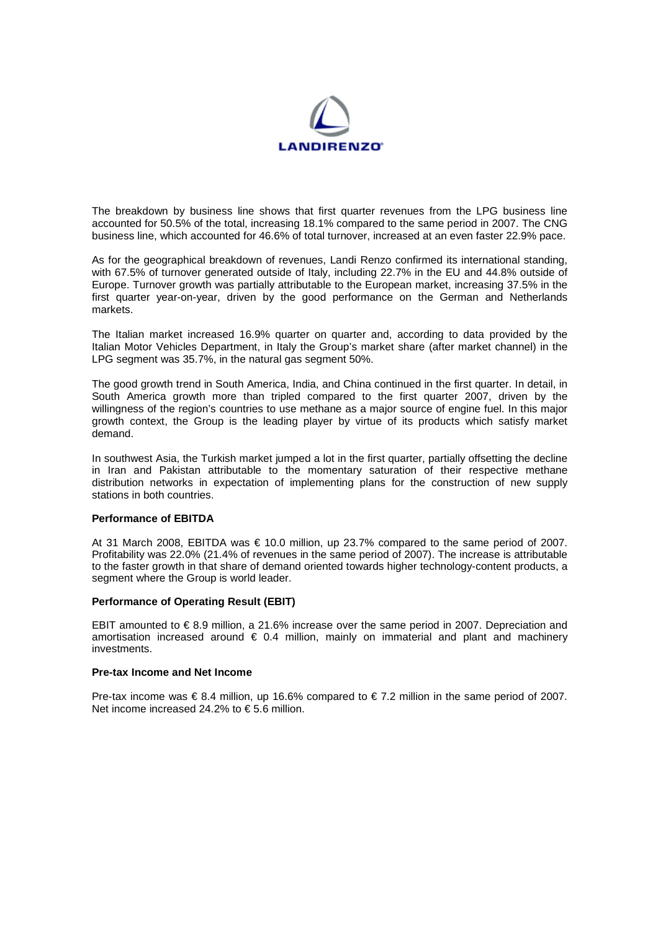

The breakdown by business line shows that first quarter revenues from the LPG business line accounted for 50.5% of the total, increasing 18.1% compared to the same period in 2007. The CNG business line, which accounted for 46.6% of total turnover, increased at an even faster 22.9% pace.

As for the geographical breakdown of revenues, Landi Renzo confirmed its international standing, with 67.5% of turnover generated outside of Italy, including 22.7% in the EU and 44.8% outside of Europe. Turnover growth was partially attributable to the European market, increasing 37.5% in the first quarter year-on-year, driven by the good performance on the German and Netherlands markets.

The Italian market increased 16.9% quarter on quarter and, according to data provided by the Italian Motor Vehicles Department, in Italy the Group's market share (after market channel) in the LPG segment was 35.7%, in the natural gas segment 50%.

The good growth trend in South America, India, and China continued in the first quarter. In detail, in South America growth more than tripled compared to the first quarter 2007, driven by the willingness of the region's countries to use methane as a major source of engine fuel. In this major growth context, the Group is the leading player by virtue of its products which satisfy market demand.

In southwest Asia, the Turkish market jumped a lot in the first quarter, partially offsetting the decline in Iran and Pakistan attributable to the momentary saturation of their respective methane distribution networks in expectation of implementing plans for the construction of new supply stations in both countries.

### **Performance of EBITDA**

At 31 March 2008, EBITDA was  $\epsilon$  10.0 million, up 23.7% compared to the same period of 2007. Profitability was 22.0% (21.4% of revenues in the same period of 2007). The increase is attributable to the faster growth in that share of demand oriented towards higher technology-content products, a segment where the Group is world leader.

# **Performance of Operating Result (EBIT)**

EBIT amounted to € 8.9 million, a 21.6% increase over the same period in 2007. Depreciation and amortisation increased around  $\epsilon$  0.4 million, mainly on immaterial and plant and machinery investments.

# **Pre-tax Income and Net Income**

Pre-tax income was  $\in$  8.4 million, up 16.6% compared to  $\in$  7.2 million in the same period of 2007. Net income increased 24.2% to € 5.6 million.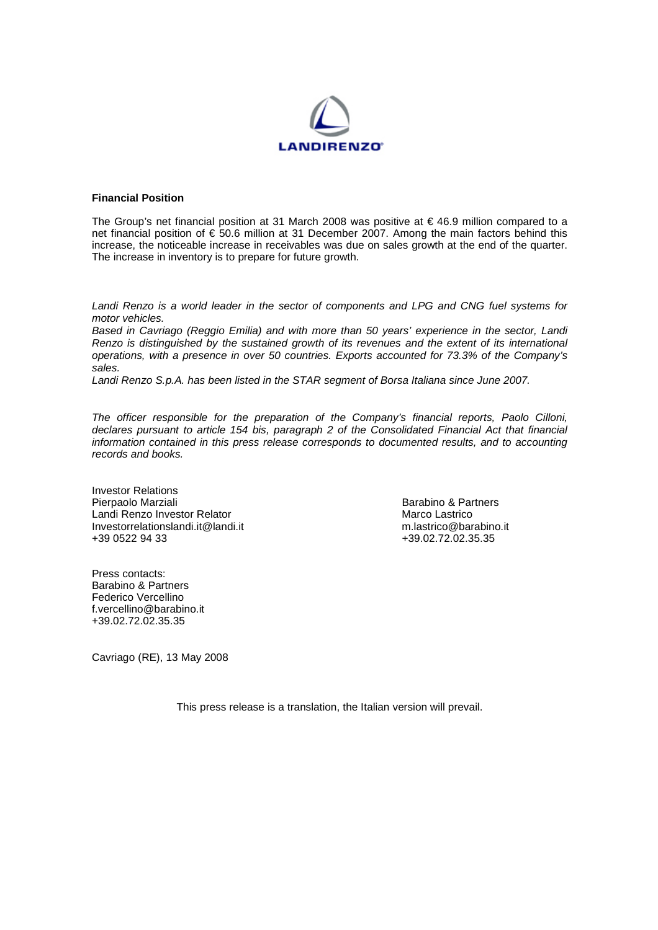

# **Financial Position**

The Group's net financial position at 31 March 2008 was positive at  $\epsilon$  46.9 million compared to a net financial position of € 50.6 million at 31 December 2007. Among the main factors behind this increase, the noticeable increase in receivables was due on sales growth at the end of the quarter. The increase in inventory is to prepare for future growth.

*Landi Renzo is a world leader in the sector of components and LPG and CNG fuel systems for motor vehicles.* 

*Based in Cavriago (Reggio Emilia) and with more than 50 years' experience in the sector, Landi Renzo is distinguished by the sustained growth of its revenues and the extent of its international operations, with a presence in over 50 countries. Exports accounted for 73.3% of the Company's sales.* 

Landi Renzo S.p.A. has been listed in the STAR segment of Borsa Italiana since June 2007.

*The officer responsible for the preparation of the Company's financial reports, Paolo Cilloni, declares pursuant to article 154 bis, paragraph 2 of the Consolidated Financial Act that financial information contained in this press release corresponds to documented results, and to accounting records and books.* 

Investor Relations<br>Pierpaolo Marziali Landi Renzo Investor Relator Marco Lastrico Investorrelationslandi.it@landi.it<br>+39 0522 94 33

Barabino & Partners<br>Marco Lastrico +39.02.72.02.35.35

Press contacts: Barabino & Partners Federico Vercellino f.vercellino@barabino.it +39.02.72.02.35.35

Cavriago (RE), 13 May 2008

This press release is a translation, the Italian version will prevail.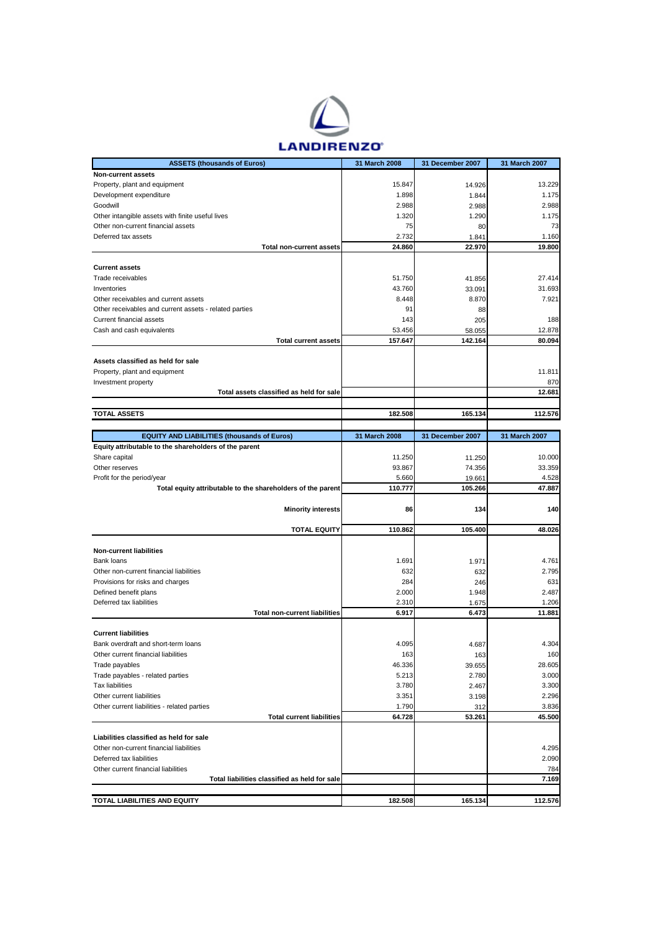

| <b>ASSETS (thousands of Euros)</b>                          | 31 March 2008 | 31 December 2007 | 31 March 2007 |
|-------------------------------------------------------------|---------------|------------------|---------------|
| Non-current assets                                          |               |                  |               |
| Property, plant and equipment                               | 15.847        | 14.926           | 13.229        |
| Development expenditure                                     | 1.898         | 1.844            | 1.175         |
| Goodwill                                                    | 2.988         | 2.988            | 2.988         |
| Other intangible assets with finite useful lives            | 1.320         | 1.290            | 1.175         |
| Other non-current financial assets                          | 75            | 80               | 73            |
| Deferred tax assets                                         | 2.732         | 1.841            | 1.160         |
| <b>Total non-current assets</b>                             | 24.860        | 22.970           | 19.800        |
|                                                             |               |                  |               |
| <b>Current assets</b>                                       |               |                  |               |
| Trade receivables                                           | 51.750        | 41.856           | 27.414        |
| Inventories                                                 | 43.760        | 33.091           | 31.693        |
| Other receivables and current assets                        | 8.448         | 8.870            | 7.921         |
| Other receivables and current assets - related parties      | 91            | 88               |               |
| Current financial assets                                    | 143           | 205              | 188           |
| Cash and cash equivalents                                   | 53.456        | 58.055           | 12.878        |
| <b>Total current assets</b>                                 | 157.647       | 142.164          | 80.094        |
|                                                             |               |                  |               |
| Assets classified as held for sale                          |               |                  |               |
| Property, plant and equipment                               |               |                  | 11.811        |
| Investment property                                         |               |                  | 870           |
| Total assets classified as held for sale                    |               |                  | 12.681        |
|                                                             |               |                  |               |
| <b>TOTAL ASSETS</b>                                         | 182.508       | 165.134          | 112.576       |
|                                                             |               |                  |               |
| <b>EQUITY AND LIABILITIES (thousands of Euros)</b>          | 31 March 2008 | 31 December 2007 | 31 March 2007 |
| Equity attributable to the shareholders of the parent       |               |                  |               |
| Share capital                                               | 11.250        | 11.250           | 10.000        |
| Other reserves                                              | 93.867        | 74.356           | 33.359        |
| Profit for the period/year                                  | 5.660         | 19.661           | 4.528         |
| Total equity attributable to the shareholders of the parent | 110.777       | 105.266          | 47.887        |
|                                                             |               |                  |               |
|                                                             |               |                  |               |
| <b>Minority interests</b>                                   | 86            | 134              | 140           |
|                                                             |               |                  |               |
| <b>TOTAL EQUITY</b>                                         | 110.862       | 105.400          | 48.026        |
|                                                             |               |                  |               |
| <b>Non-current liabilities</b>                              |               |                  |               |
| Bank loans                                                  | 1.691         | 1.971            | 4.761         |
| Other non-current financial liabilities                     | 632           | 632              | 2.795         |
| Provisions for risks and charges                            | 284           | 246              | 631           |
| Defined benefit plans                                       | 2.000         | 1.948            | 2.487         |
| Deferred tax liabilities                                    | 2.310         | 1.675            | 1.206         |
| <b>Total non-current liabilities</b>                        | 6.917         | 6.473            | 11.881        |
|                                                             |               |                  |               |
| <b>Current liabilities</b>                                  |               |                  |               |
| Bank overdraft and short-term loans                         | 4.095         | 4.687            | 4.304         |
| Other current financial liabilities                         | 163           | 163              | 160           |
| Trade payables                                              | 46.336        | 39.655           | 28.605        |
| Trade payables - related parties                            | 5.213         | 2.780            | 3.000         |
| <b>Tax liabilities</b>                                      | 3.780         | 2.467            | 3.300         |
| Other current liabilities                                   | 3.351         | 3.198            | 2.296         |
| Other current liabilities - related parties                 | 1.790         | 312              | 3.836         |
| <b>Total current liabilities</b>                            | 64.728        | 53.261           | 45.500        |
|                                                             |               |                  |               |
| Liabilities classified as held for sale                     |               |                  |               |
| Other non-current financial liabilities                     |               |                  | 4.295         |
| Deferred tax liabilities                                    |               |                  | 2.090         |
| Other current financial liabilities                         |               |                  | 784           |
| Total liabilities classified as held for sale               |               |                  | 7.169         |
| TOTAL LIABILITIES AND EQUITY                                | 182.508       | 165.134          | 112.576       |